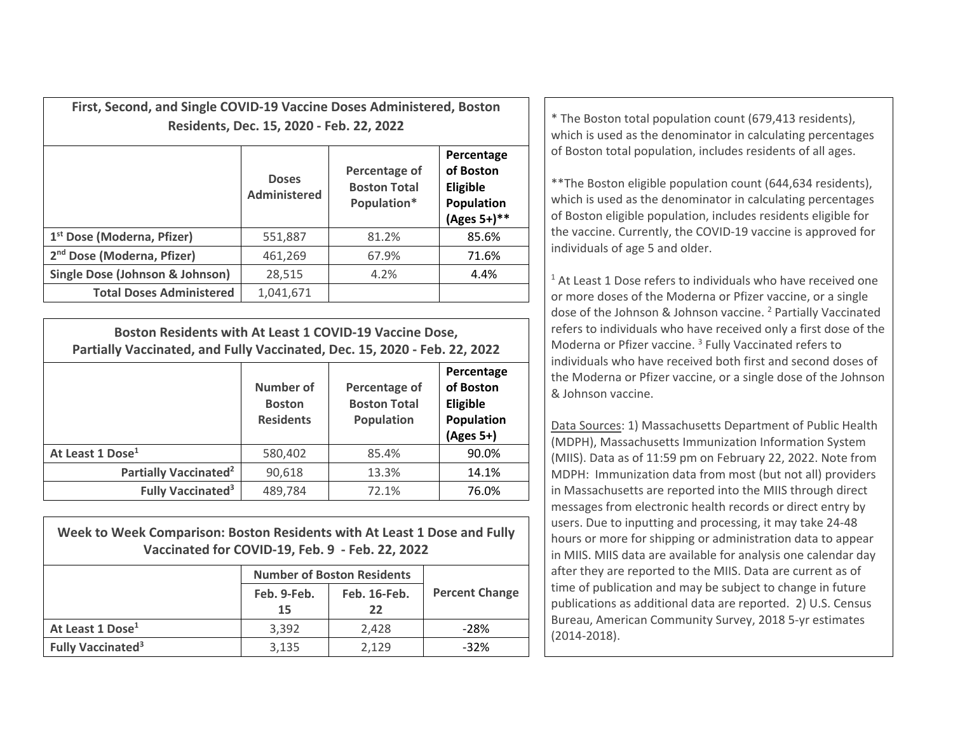| First, Second, and Single COVID-19 Vaccine Doses Administered, Boston | Residents, Dec. 15, 2020 - Feb. 22, 2022 | * The Boston total population count (679,413 residents),<br>which is used as the denominator in calculating percentages |                                                                            |                                                                                                                                                                                                                                                              |  |
|-----------------------------------------------------------------------|------------------------------------------|-------------------------------------------------------------------------------------------------------------------------|----------------------------------------------------------------------------|--------------------------------------------------------------------------------------------------------------------------------------------------------------------------------------------------------------------------------------------------------------|--|
|                                                                       | <b>Doses</b><br><b>Administered</b>      | Percentage of<br><b>Boston Total</b><br>Population*                                                                     | Percentage<br>of Boston<br><b>Eligible</b><br>Population<br>$(Ages 5+)$ ** | of Boston total population, includes residents of all ages.<br>** The Boston eligible population count (644,634 residents),<br>which is used as the denominator in calculating percentages<br>of Boston eligible population, includes residents eligible for |  |
| 1 <sup>st</sup> Dose (Moderna, Pfizer)                                | 551,887                                  | 81.2%                                                                                                                   | 85.6%                                                                      | the vaccine. Currently, the COVID-19 vaccine is approved for<br>individuals of age 5 and older.                                                                                                                                                              |  |
| 2 <sup>nd</sup> Dose (Moderna, Pfizer)                                | 461,269                                  | 67.9%                                                                                                                   | 71.6%                                                                      |                                                                                                                                                                                                                                                              |  |
| Single Dose (Johnson & Johnson)                                       | 28,515                                   | 4.2%                                                                                                                    | 4.4%                                                                       | <sup>1</sup> At Least 1 Dose refers to individuals who have received on                                                                                                                                                                                      |  |
| <b>Total Doses Administered</b>                                       | 1,041,671                                |                                                                                                                         |                                                                            | or more doses of the Moderna or Pfizer vaccine, or a single                                                                                                                                                                                                  |  |

| Boston Residents with At Least 1 COVID-19 Vaccine Dose,<br>Partially Vaccinated, and Fully Vaccinated, Dec. 15, 2020 - Feb. 22, 2022 |                                                |                                                    |                                                                |  |  |  |  |
|--------------------------------------------------------------------------------------------------------------------------------------|------------------------------------------------|----------------------------------------------------|----------------------------------------------------------------|--|--|--|--|
|                                                                                                                                      | Number of<br><b>Boston</b><br><b>Residents</b> | Percentage of<br><b>Boston Total</b><br>Population | Percentage<br>of Boston<br>Eligible<br>Population<br>(Ages 5+) |  |  |  |  |
| At Least 1 Dose <sup>1</sup>                                                                                                         | 580,402                                        | 85.4%                                              | 90.0%                                                          |  |  |  |  |
| Partially Vaccinated <sup>2</sup>                                                                                                    | 90,618                                         | 13.3%                                              | 14.1%                                                          |  |  |  |  |
| <b>Fully Vaccinated<sup>3</sup></b>                                                                                                  | 489,784                                        | 72.1%                                              | 76.0%                                                          |  |  |  |  |

| Week to Week Comparison: Boston Residents with At Least 1 Dose and Fully<br>Vaccinated for COVID-19, Feb. 9 - Feb. 22, 2022 |                                   |              |                       |  |  |  |  |
|-----------------------------------------------------------------------------------------------------------------------------|-----------------------------------|--------------|-----------------------|--|--|--|--|
|                                                                                                                             | <b>Number of Boston Residents</b> |              |                       |  |  |  |  |
|                                                                                                                             | Feb. 9-Feb.                       | Feb. 16-Feb. | <b>Percent Change</b> |  |  |  |  |
|                                                                                                                             | 15                                | 22           |                       |  |  |  |  |
| At Least 1 Dose <sup>1</sup>                                                                                                | 3,392                             | 2,428        | -28%                  |  |  |  |  |
| <b>Fully Vaccinated<sup>3</sup></b>                                                                                         | 3,135                             | 2,129        | $-32%$                |  |  |  |  |

 $1$  At Least 1 Dose refers to individuals who have received one or more doses of the Moderna or Pfizer vaccine, or <sup>a</sup> single dose of the Johnson & Johnson vaccine. <sup>2</sup> Partially Vaccinated refers to individuals who have received only <sup>a</sup> first dose of the Moderna or Pfizer vaccine. <sup>3</sup> Fully Vaccinated refers to individuals who have received both first and second doses of the Moderna or Pfizer vaccine, or <sup>a</sup> single dose of the Johnson & Johnson vaccine.

Data Sources: 1) Massachusetts Department of Public Health (MDPH), Massachusetts Immunization Information System (MIIS). Data as of 11:59 pm on February 22, 2022. Note from MDPH: Immunization data from most (but not all) providers in Massachusetts are reported into the MIIS through direct messages from electronic health records or direct entry by users. Due to inputting and processing, it may take 24‐48 hours or more for shipping or administration data to appear in MIIS. MIIS data are available for analysis one calendar day after they are reported to the MIIS. Data are current as of time of publication and may be subject to change in future publications as additional data are reported. 2) U.S. Census Bureau, American Community Survey, 2018 5‐yr estimates (2014‐2018).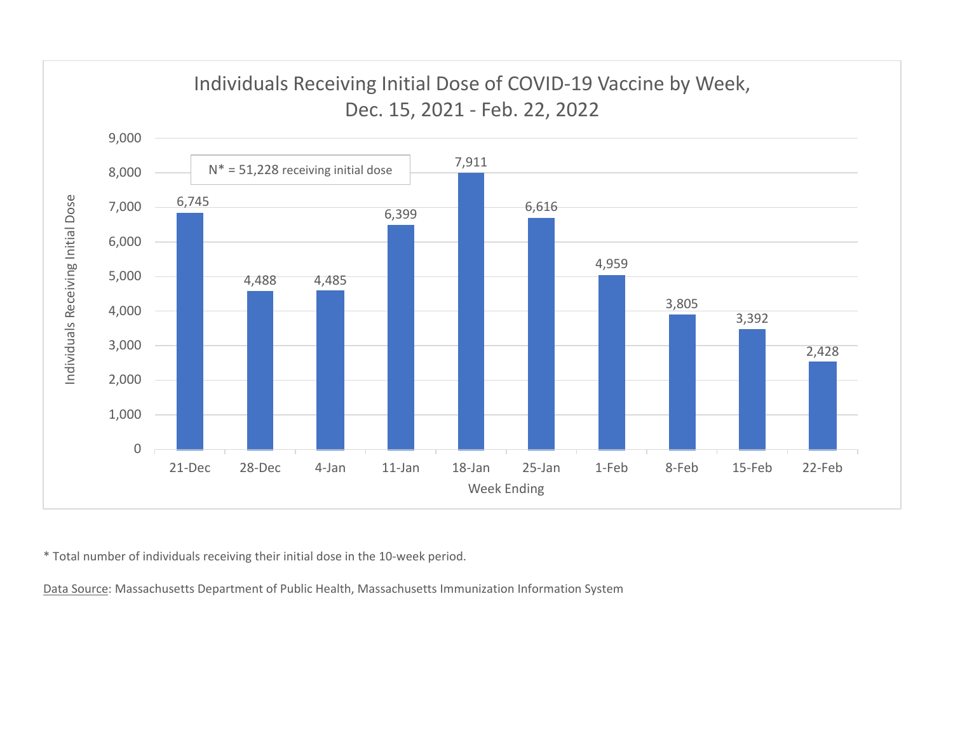

\* Total number of individuals receiving their initial dose in the 10‐week period.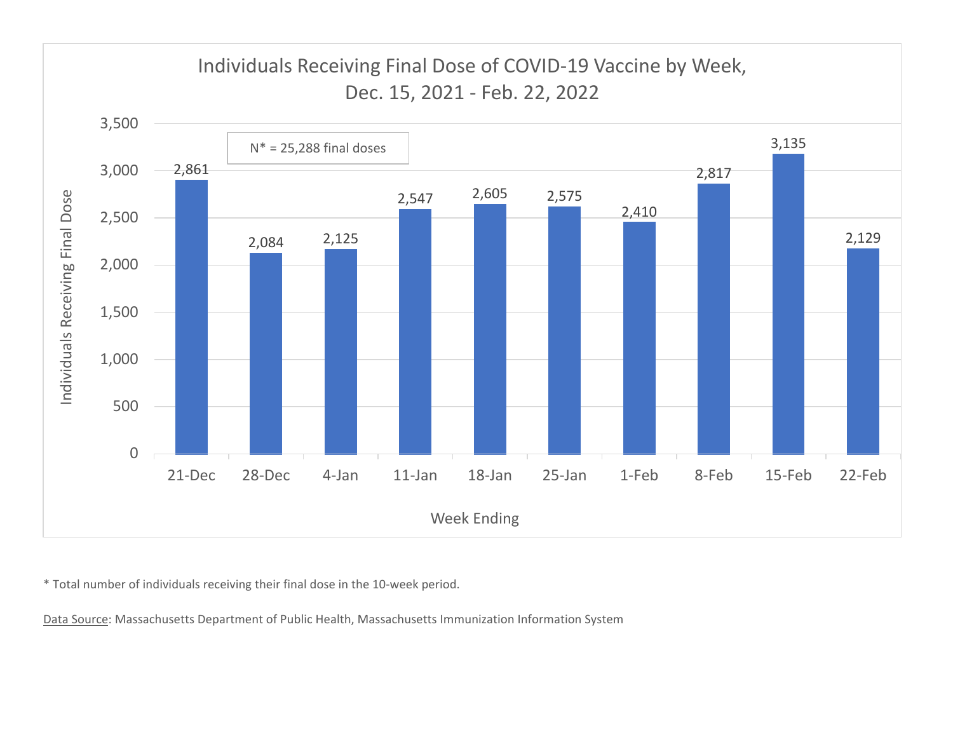

\* Total number of individuals receiving their final dose in the 10‐week period.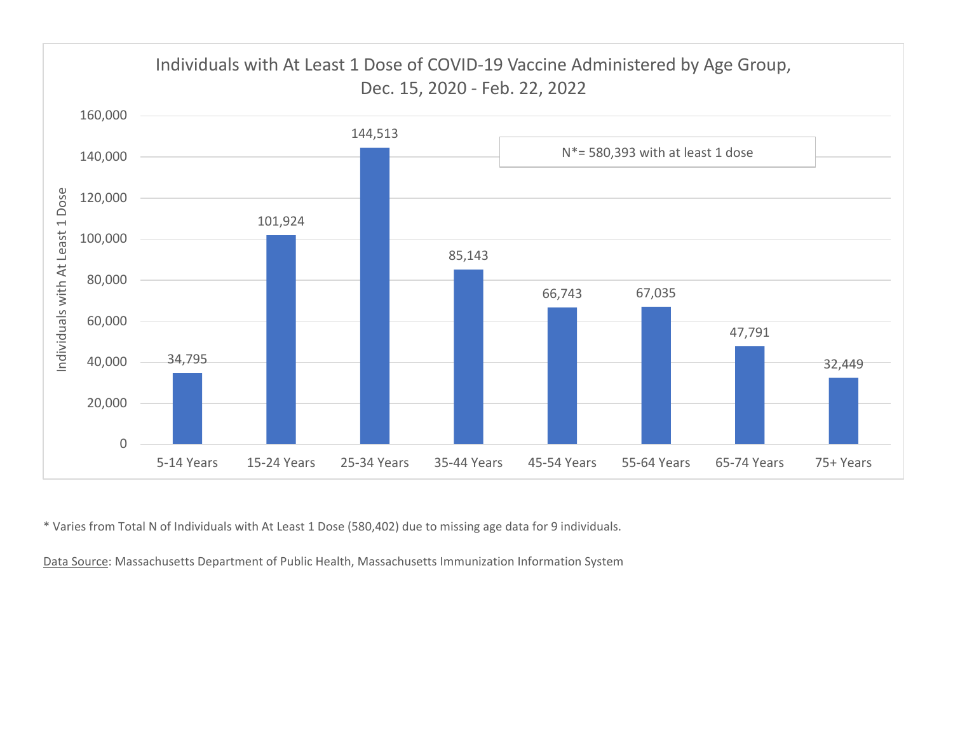

\* Varies from Total N of Individuals with At Least 1 Dose (580,402) due to missing age data for 9 individuals.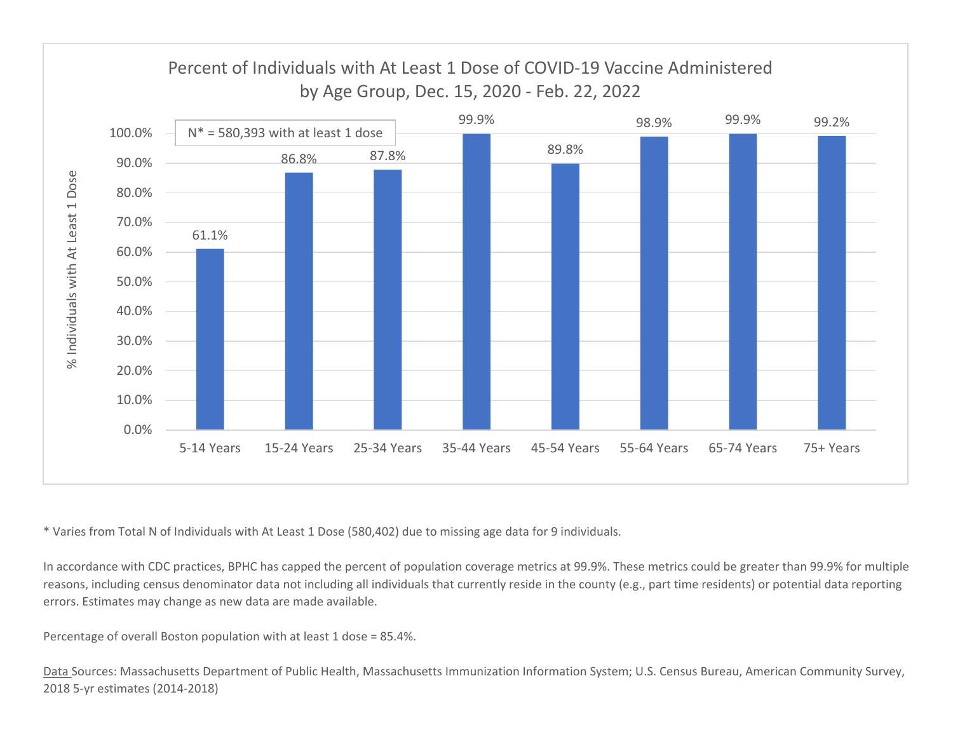

\* Varies from Total N of Individuals with At Least 1 Dose (580,402) due to missing age data for 9 individuals.

In accordance with CDC practices, BPHC has capped the percent of population coverage metrics at 99.9%. These metrics could be greater than 99.9% for multiple reasons, including census denominator data not including all individuals that currently reside in the county (e.g., part time residents) or potential data reporting errors. Estimates may change as new data are made available.

Percentage of overall Boston population with at least 1 dose <sup>=</sup> 85.4%.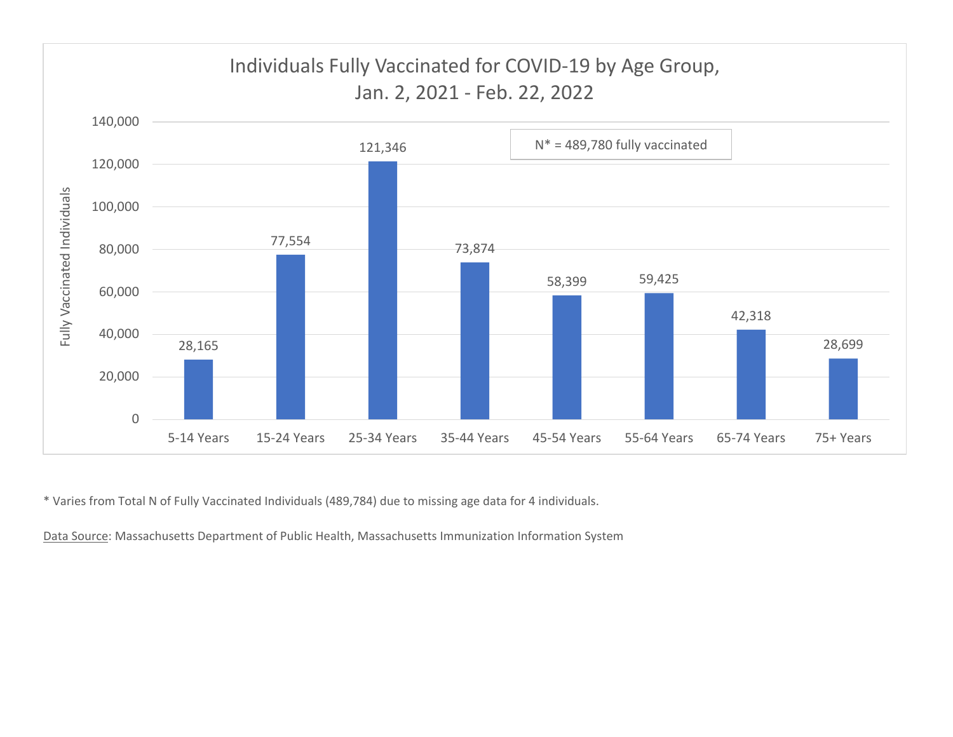

\* Varies from Total N of Fully Vaccinated Individuals (489,784) due to missing age data for 4 individuals.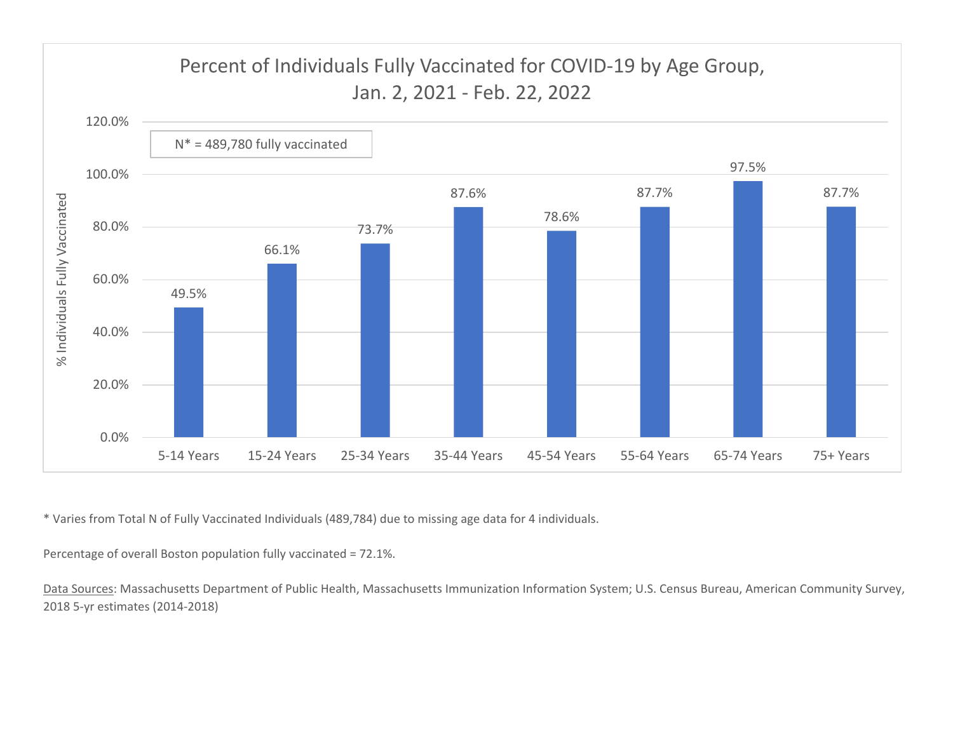

\* Varies from Total N of Fully Vaccinated Individuals (489,784) due to missing age data for 4 individuals.

Percentage of overall Boston population fully vaccinated <sup>=</sup> 72.1%.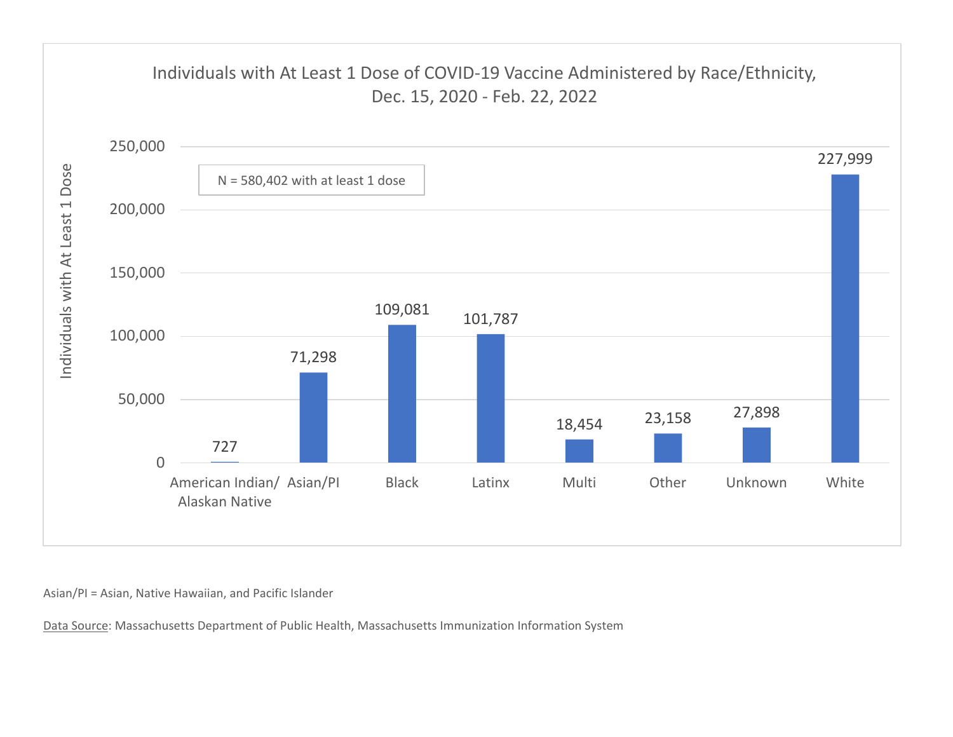

Asian/PI <sup>=</sup> Asian, Native Hawaiian, and Pacific Islander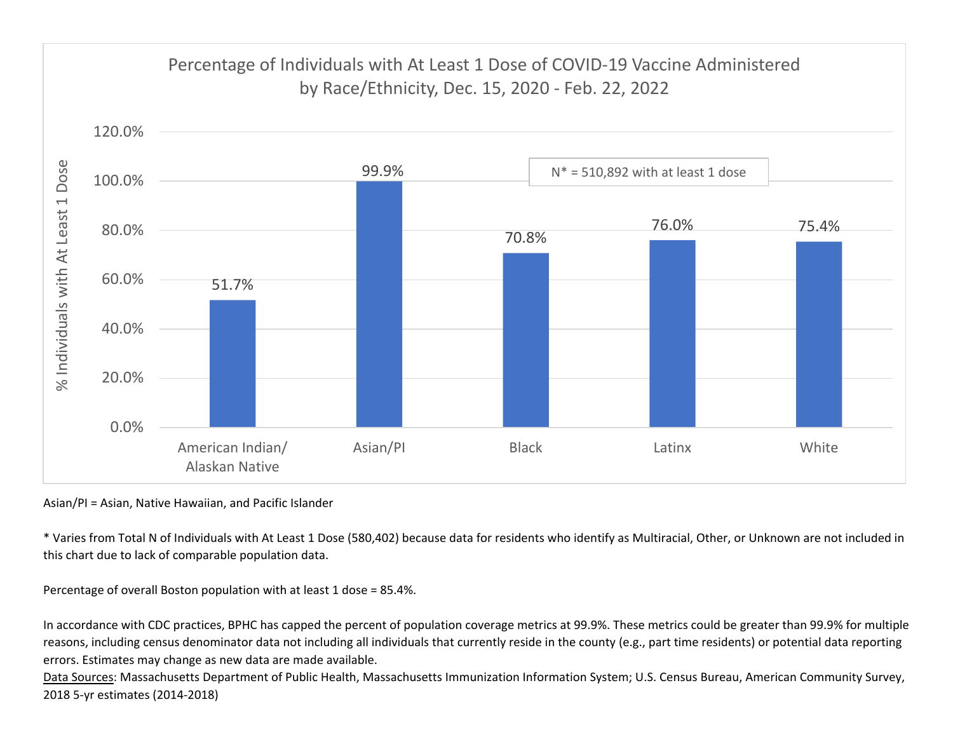

Asian/PI <sup>=</sup> Asian, Native Hawaiian, and Pacific Islander

\* Varies from Total N of Individuals with At Least 1 Dose (580,402) because data for residents who identify as Multiracial, Other, or Unknown are not included in this chart due to lack of comparable population data.

Percentage of overall Boston population with at least 1 dose <sup>=</sup> 85.4%.

In accordance with CDC practices, BPHC has capped the percent of population coverage metrics at 99.9%. These metrics could be greater than 99.9% for multiple reasons, including census denominator data not including all individuals that currently reside in the county (e.g., part time residents) or potential data reporting errors. Estimates may change as new data are made available.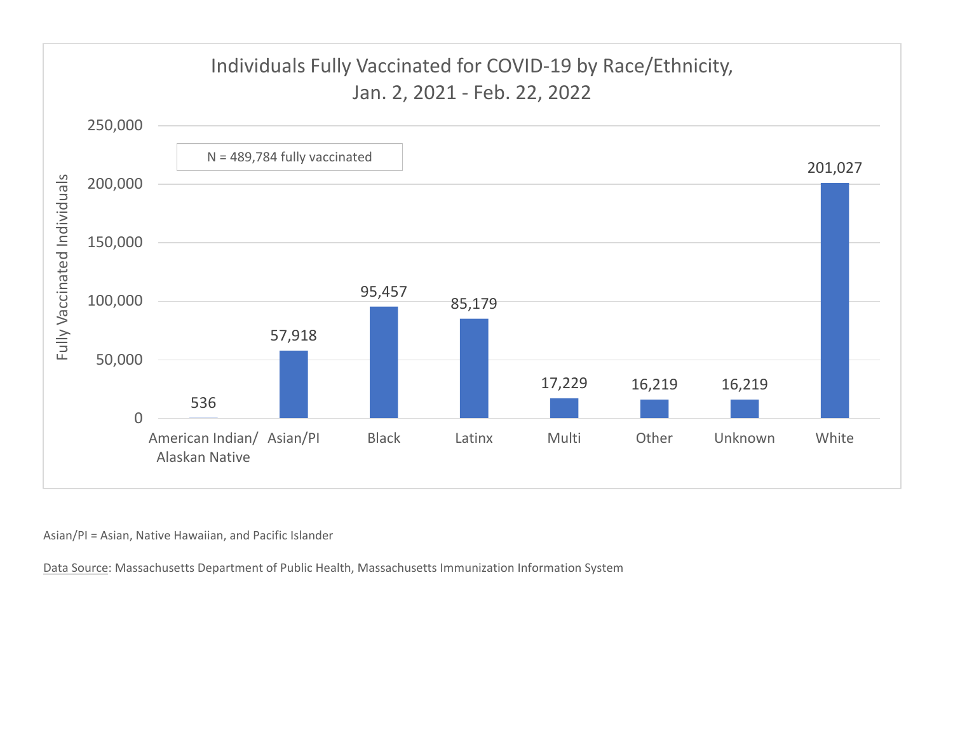

Asian/PI <sup>=</sup> Asian, Native Hawaiian, and Pacific Islander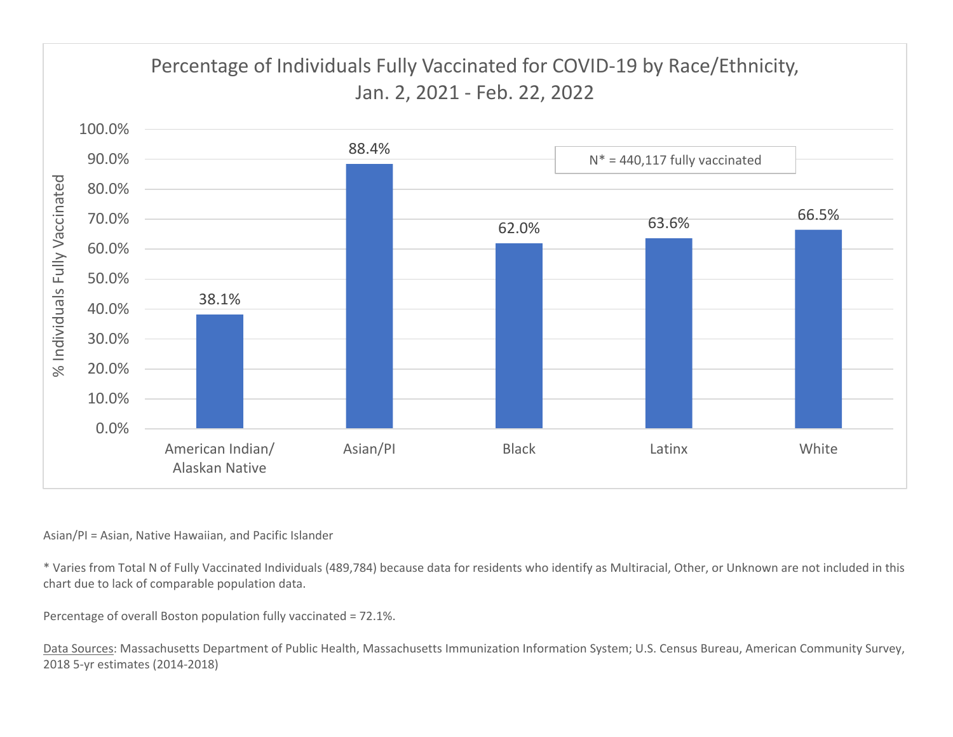

## Asian/PI <sup>=</sup> Asian, Native Hawaiian, and Pacific Islander

\* Varies from Total N of Fully Vaccinated Individuals (489,784) because data for residents who identify as Multiracial, Other, or Unknown are not included in this chart due to lack of comparable population data.

Percentage of overall Boston population fully vaccinated <sup>=</sup> 72.1%.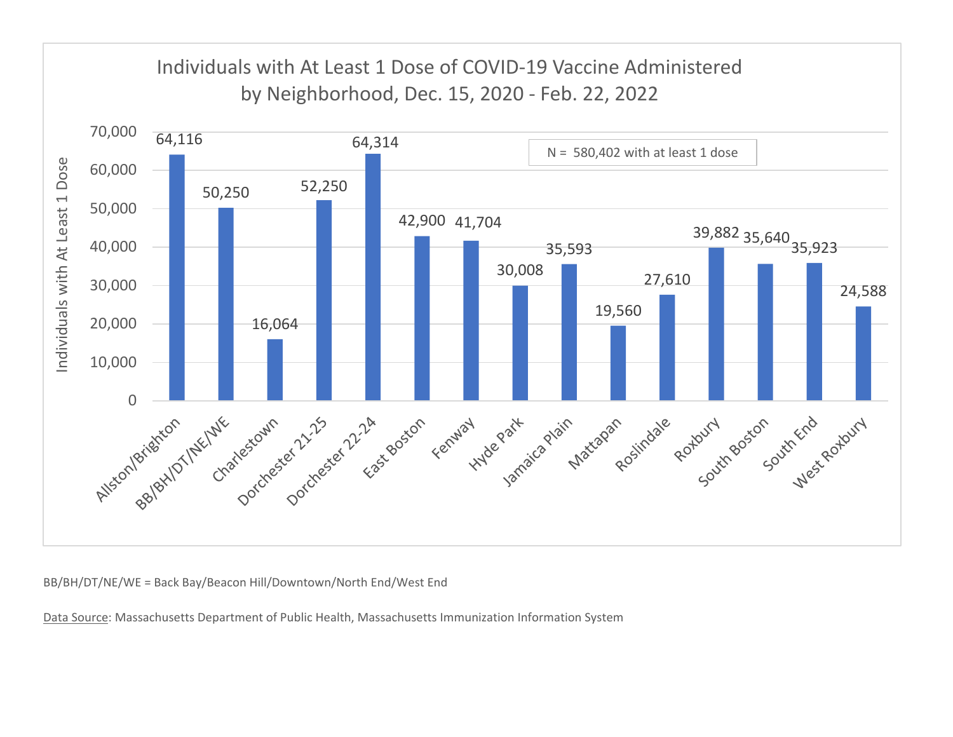

BB/BH/DT/NE/WE <sup>=</sup> Back Bay/Beacon Hill/Downtown/North End/West End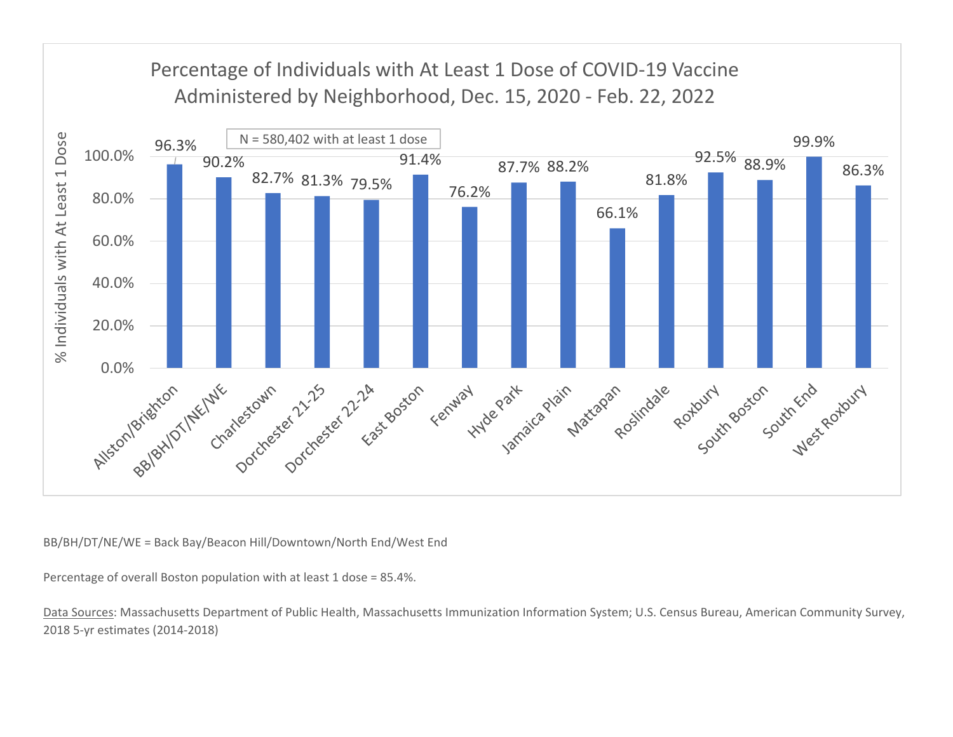

BB/BH/DT/NE/WE <sup>=</sup> Back Bay/Beacon Hill/Downtown/North End/West End

Percentage of overall Boston population with at least 1 dose <sup>=</sup> 85.4%.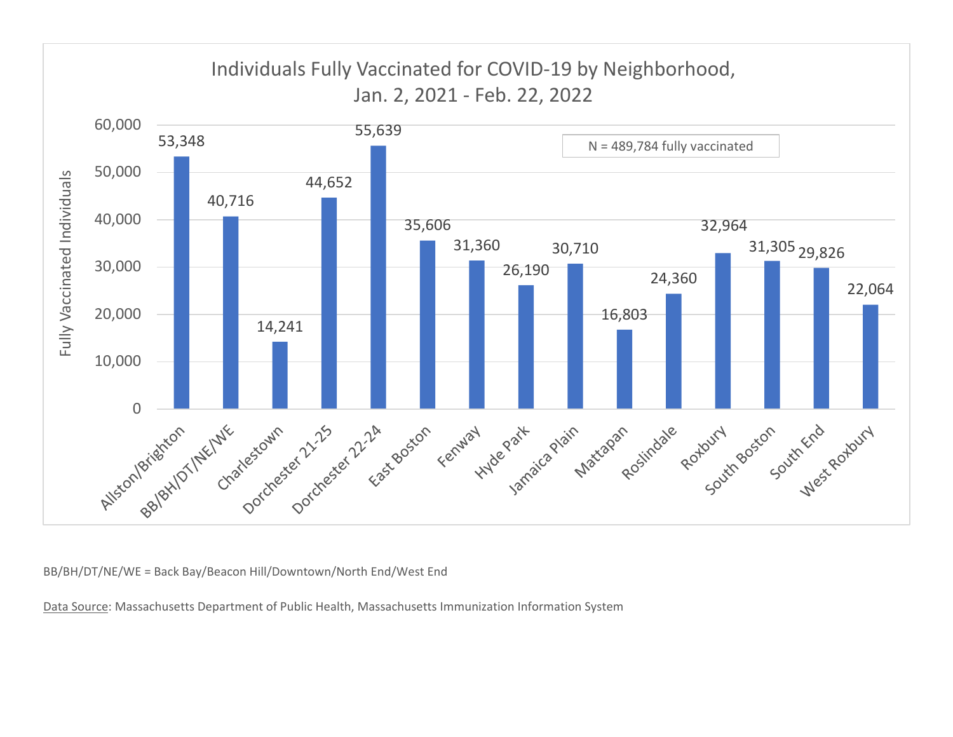

BB/BH/DT/NE/WE <sup>=</sup> Back Bay/Beacon Hill/Downtown/North End/West End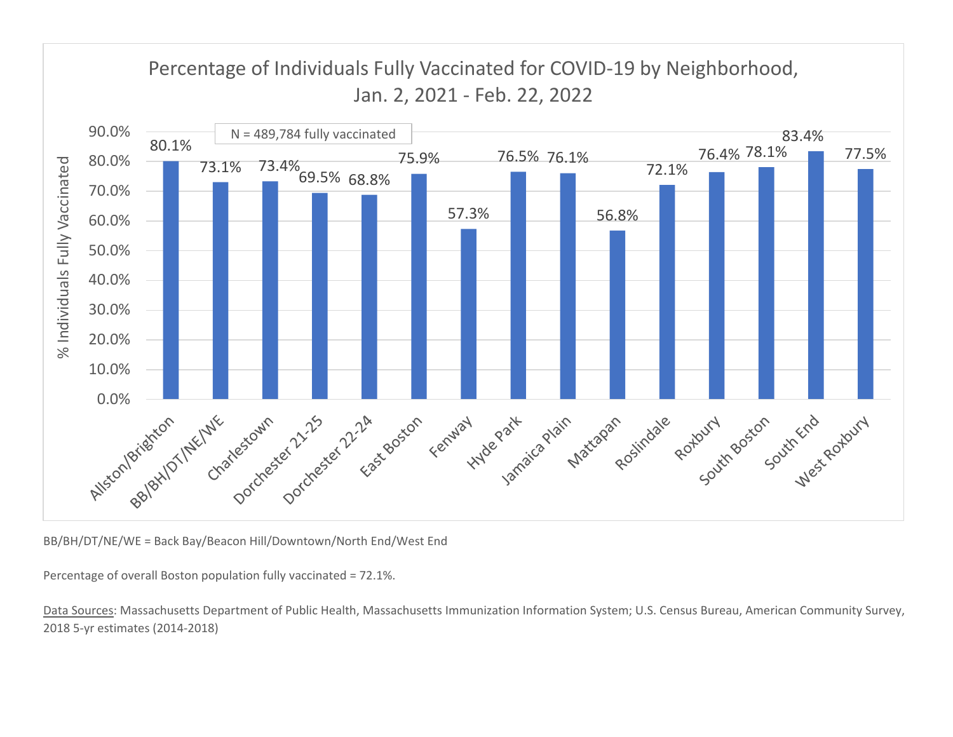

BB/BH/DT/NE/WE <sup>=</sup> Back Bay/Beacon Hill/Downtown/North End/West End

Percentage of overall Boston population fully vaccinated <sup>=</sup> 72.1%.